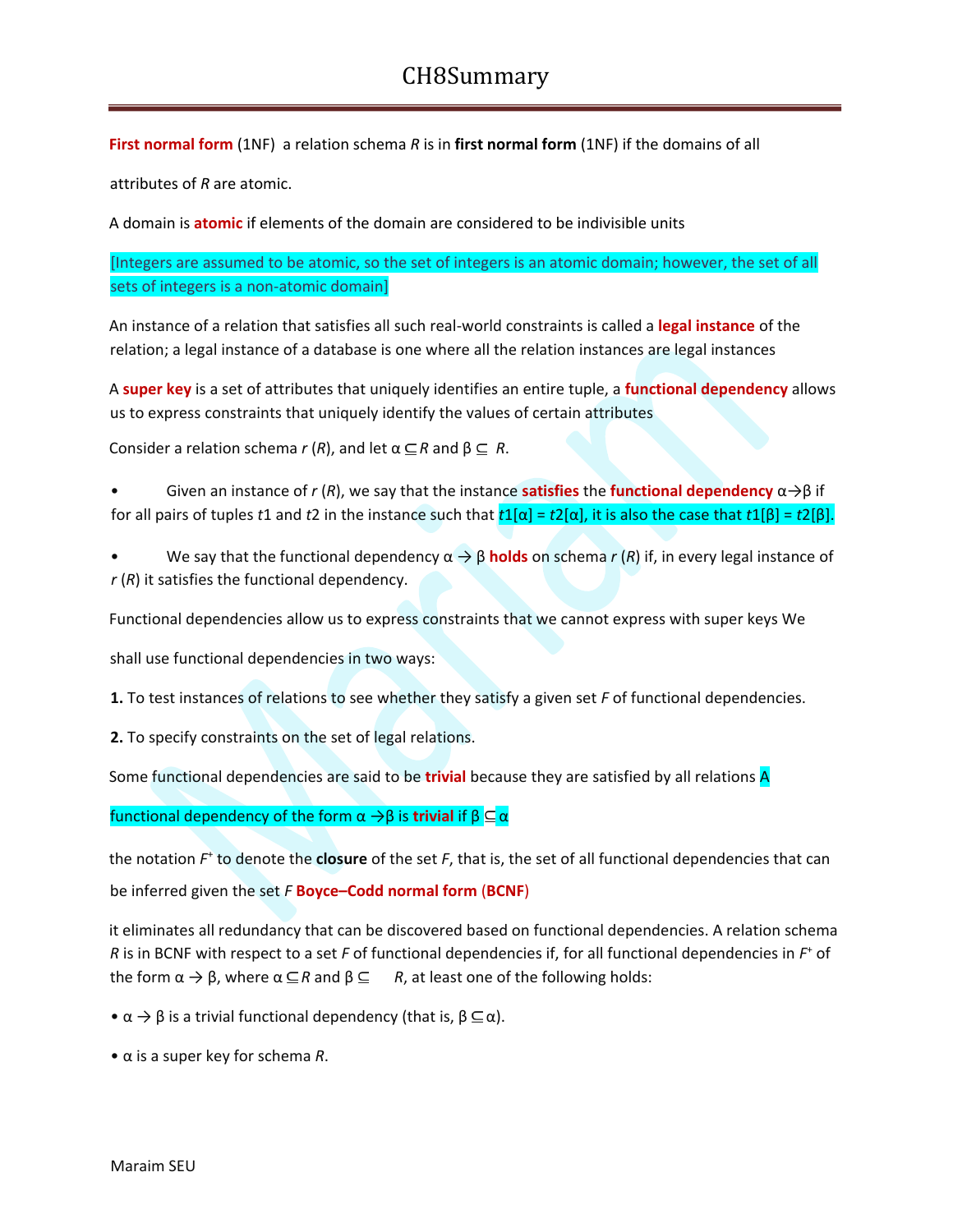**First normal form** (1NF) a relation schema *R* is in **first normal form** (1NF) if the domains of all

attributes of *R* are atomic.

A domain is **atomic** if elements of the domain are considered to be indivisible units

[Integers are assumed to be atomic, so the set of integers is an atomic domain; however, the set of all sets of integers is a non-atomic domain]

An instance of a relation that satisfies all such real-world constraints is called a **legal instance** of the relation; a legal instance of a database is one where all the relation instances are legal instances

A **super key** is a set of attributes that uniquely identifies an entire tuple, a **functional dependency** allows us to express constraints that uniquely identify the values of certain attributes

Consider a relation schema  $r(R)$ , and let  $\alpha \subseteq R$  and  $\beta \subseteq R$ .

• Given an instance of *r* (*R*), we say that the instance **satisfies** the **functional dependency** α→β if for all pairs of tuples *t*1 and *t*2 in the instance such that *t*1[α] = *t*2[α], it is also the case that *t*1[β] = *t*2[β].

• We say that the functional dependency α → β **holds** on schema *r* (*R*) if, in every legal instance of *r* (*R*) it satisfies the functional dependency.

Functional dependencies allow us to express constraints that we cannot express with super keys We

shall use functional dependencies in two ways:

**1.** To test instances of relations to see whether they satisfy a given set *F* of functional dependencies.

**2.** To specify constraints on the set of legal relations.

Some functional dependencies are said to be **trivial** because they are satisfied by all relations A

functional dependency of the form  $\alpha \rightarrow \beta$  is **trivial** if  $\beta \subseteq \alpha$ 

the notation  $F^*$  to denote the **closure** of the set F, that is, the set of all functional dependencies that can be inferred given the set *F* **Boyce–Codd normal form** (**BCNF**)

it eliminates all redundancy that can be discovered based on functional dependencies. A relation schema *R* is in BCNF with respect to a set *F* of functional dependencies if, for all functional dependencies in *F* <sup>+</sup> of the form  $\alpha \to \beta$ , where  $\alpha \subseteq R$  and  $\beta \subseteq R$ , at least one of the following holds:

- $\bullet \alpha \rightarrow \beta$  is a trivial functional dependency (that is,  $\beta \subseteq \alpha$ ).
- α is a super key for schema *R*.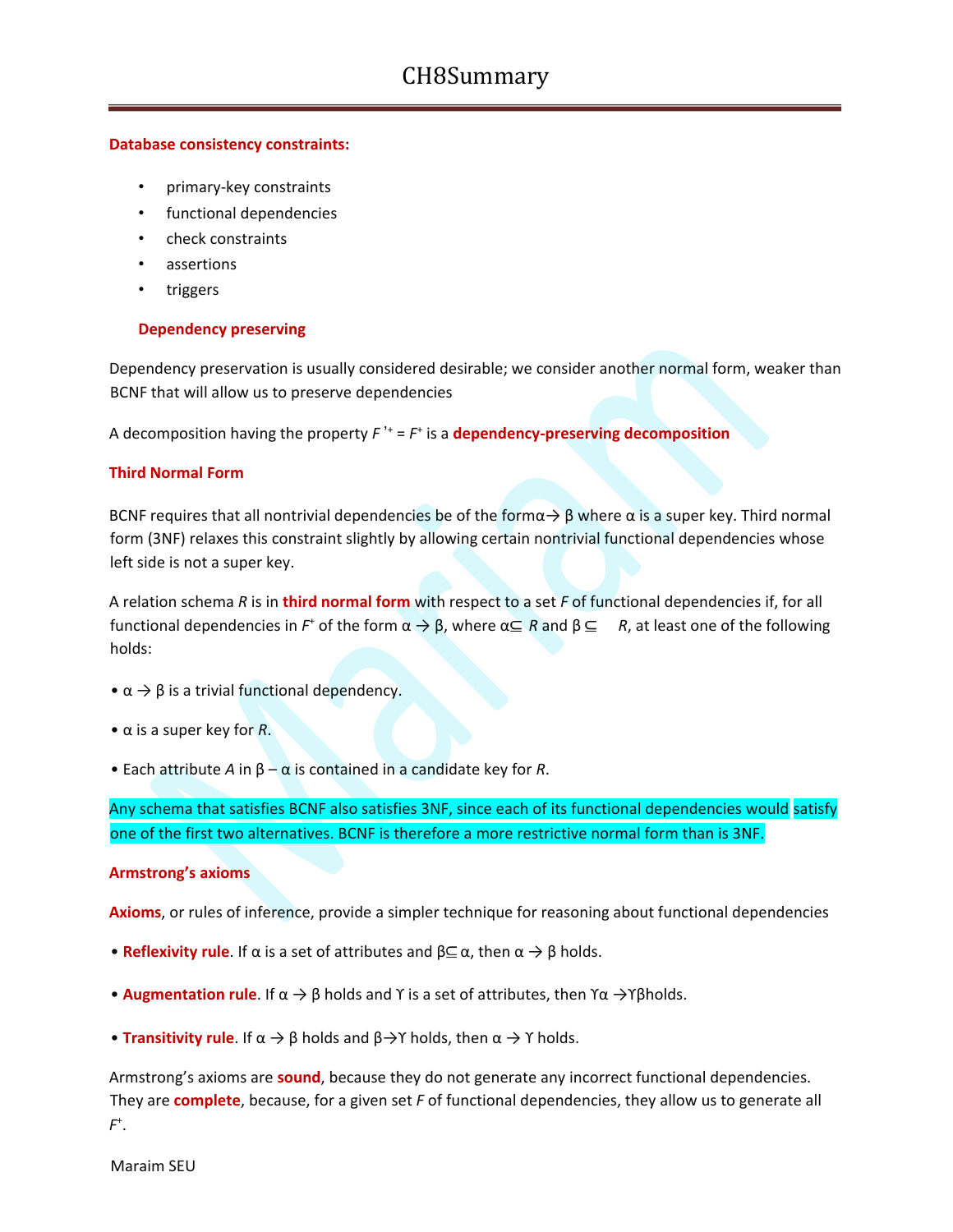#### **Database consistency constraints:**

- primary-key constraints
- functional dependencies
- check constraints
- assertions
- **triggers**

#### **Dependency preserving**

Dependency preservation is usually considered desirable; we consider another normal form, weaker than BCNF that will allow us to preserve dependencies

A decomposition having the property  $F^{\mu}$  =  $F^{\mu}$  is a **dependency-preserving decomposition** 

#### **Third Normal Form**

BCNF requires that all nontrivial dependencies be of the form $\alpha \rightarrow \beta$  where  $\alpha$  is a super key. Third normal form (3NF) relaxes this constraint slightly by allowing certain nontrivial functional dependencies whose left side is not a super key.

A relation schema *R* is in **third normal form** with respect to a set *F* of functional dependencies if, for all functional dependencies in *F*<sup>+</sup> of the form  $\alpha$  → β, where  $\alpha \subseteq R$  and  $\beta \subseteq R$ , at least one of the following holds:

- $\bullet \alpha \rightarrow \beta$  is a trivial functional dependency.
- α is a super key for *R*.
- Each attribute *A* in  $β α$  is contained in a candidate key for *R*.

Any schema that satisfies BCNF also satisfies 3NF, since each of its functional dependencies would satisfy one of the first two alternatives. BCNF is therefore a more restrictive normal form than is 3NF.

#### **Armstrong's axioms**

**Axioms**, or rules of inference, provide a simpler technique for reasoning about functional dependencies

- **Reflexivity rule**. If  $\alpha$  is a set of attributes and  $\beta \subseteq \alpha$ , then  $\alpha \to \beta$  holds.
- **Augmentation rule**. If  $\alpha \rightarrow \beta$  holds and Y is a set of attributes, then  $\gamma \alpha \rightarrow \gamma \beta$  holds.
- **Transitivity rule**. If  $\alpha \to \beta$  holds and  $\beta \to \gamma$  holds, then  $\alpha \to \gamma$  holds.

Armstrong's axioms are **sound**, because they do not generate any incorrect functional dependencies. They are **complete**, because, for a given set *F* of functional dependencies, they allow us to generate all *F* + .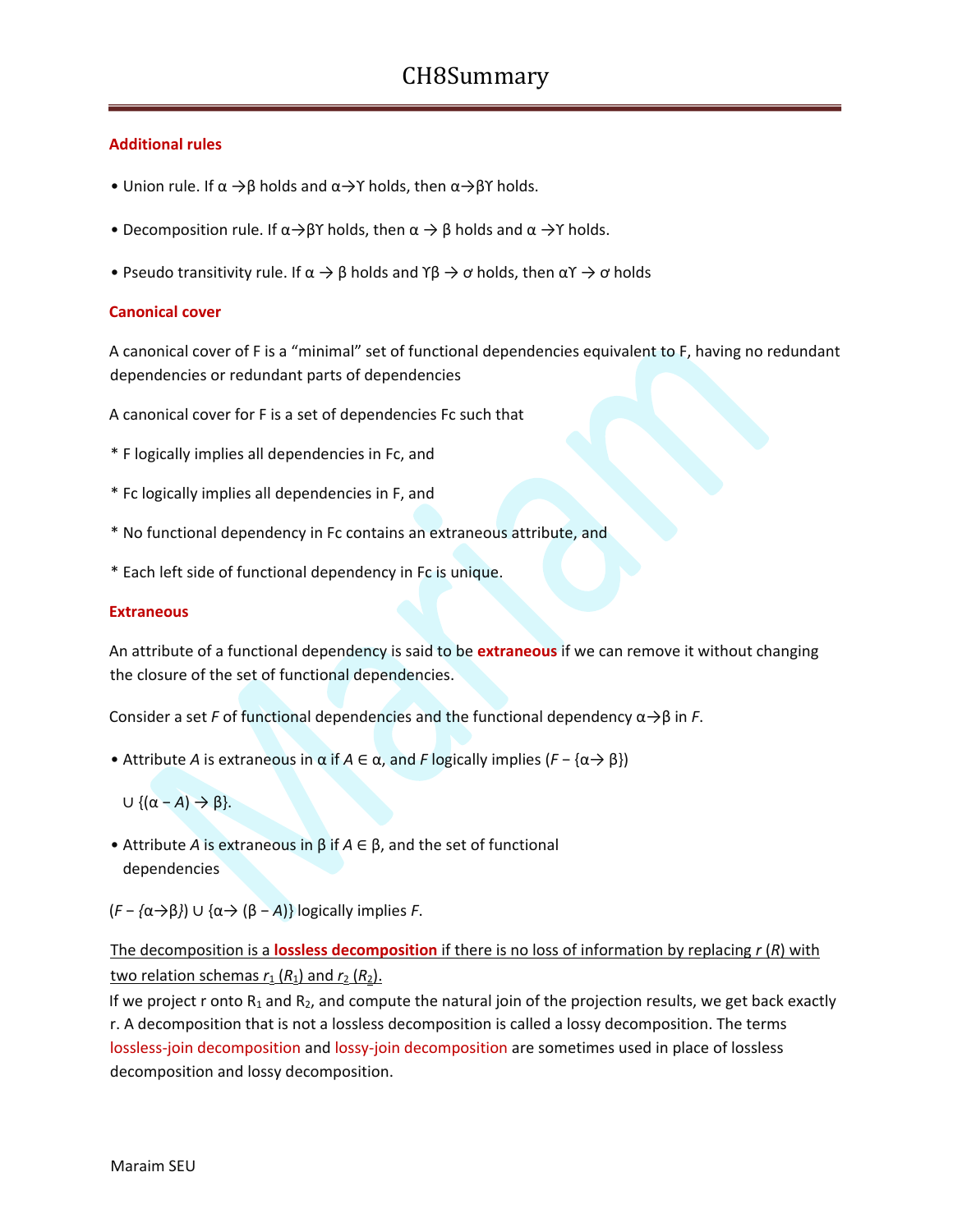#### **Additional rules**

- Union rule. If  $\alpha \rightarrow \beta$  holds and  $\alpha \rightarrow \gamma$  holds, then  $\alpha \rightarrow \beta \gamma$  holds.
- Decomposition rule. If  $\alpha \rightarrow \beta \gamma$  holds, then  $\alpha \rightarrow \beta$  holds and  $\alpha \rightarrow \gamma$  holds.
- Pseudo transitivity rule. If  $\alpha \to \beta$  holds and  $\gamma \beta \to \alpha$  holds, then  $\alpha \gamma \to \alpha$  holds

#### **Canonical cover**

A canonical cover of F is a "minimal" set of functional dependencies equivalent to F, having no redundant dependencies or redundant parts of dependencies

A canonical cover for F is a set of dependencies Fc such that

- \* F logically implies all dependencies in Fc, and
- \* Fc logically implies all dependencies in F, and
- \* No functional dependency in Fc contains an extraneous attribute, and
- \* Each left side of functional dependency in Fc is unique.

#### **Extraneous**

An attribute of a functional dependency is said to be **extraneous** if we can remove it without changing the closure of the set of functional dependencies.

Consider a set *F* of functional dependencies and the functional dependency  $\alpha \rightarrow \beta$  in *F*.

- Attribute *A* is extraneous in α if *A* ∈ α, and *F* logically implies (*F* − {α→ β})
	- $\cup$  { $(\alpha A) \rightarrow \beta$ }.
- Attribute *A* is extraneous in β if *A* ∈ β, and the set of functional dependencies

(*F* − *{*α→β*}*) ∪ {α→ (β − *A*)} logically implies *F*.

### The decomposition is a **lossless decomposition** if there is no loss of information by replacing *r* (*R*) with two relation schemas  $r_1$  ( $R_1$ ) and  $r_2$  ( $R_2$ ).

If we project r onto  $R_1$  and  $R_2$ , and compute the natural join of the projection results, we get back exactly r. A decomposition that is not a lossless decomposition is called a lossy decomposition. The terms lossless-join decomposition and lossy-join decomposition are sometimes used in place of lossless decomposition and lossy decomposition.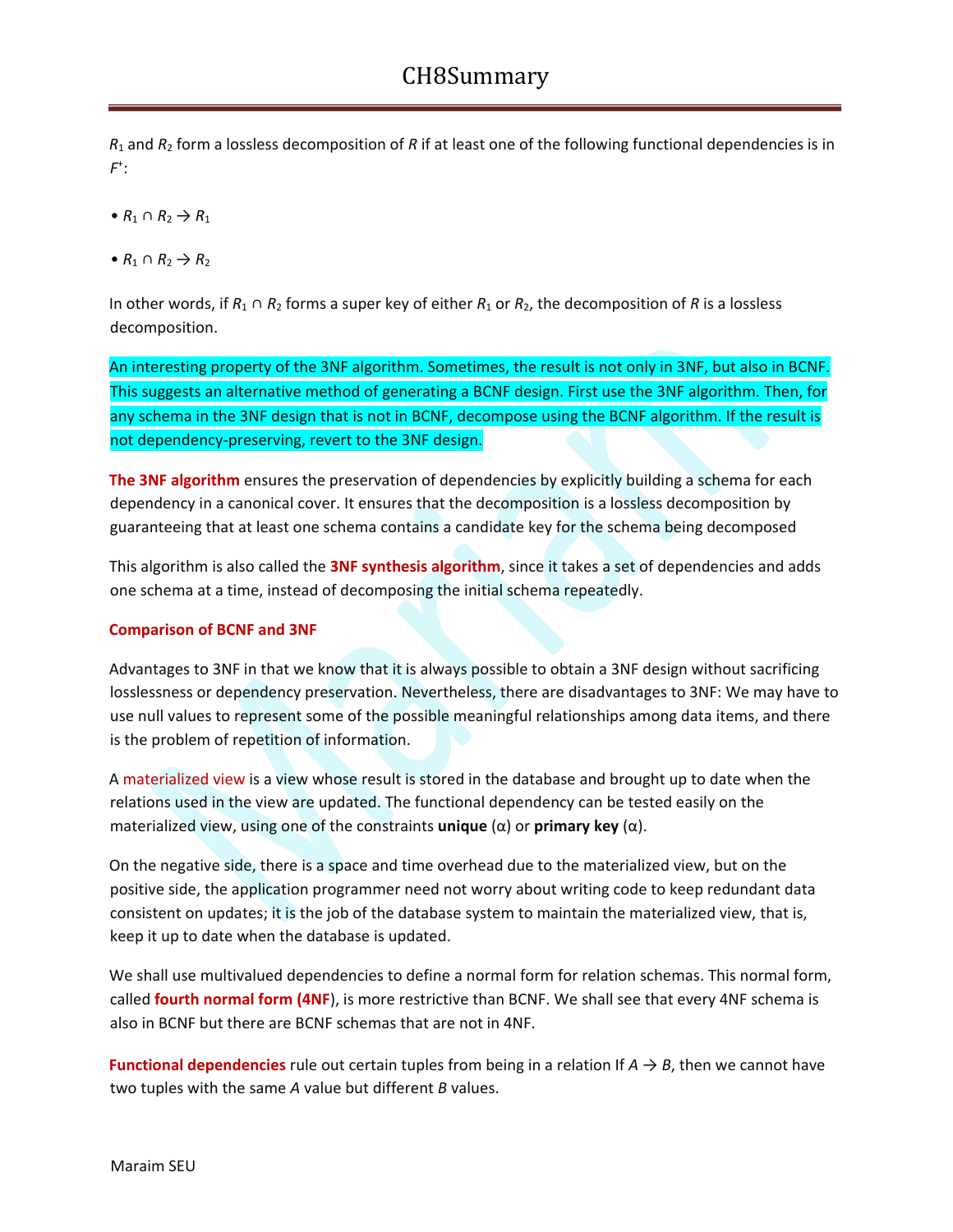*R*<sup>1</sup> and *R*<sup>2</sup> form a lossless decomposition of *R* if at least one of the following functional dependencies is in *F* + :

- $\bullet$  *R*<sub>1</sub>  $\cap$  *R*<sub>2</sub>  $\rightarrow$  *R*<sub>1</sub>
- $\bullet$  *R*<sub>1</sub>  $\cap$  *R*<sub>2</sub>  $\rightarrow$  *R*<sub>2</sub>

In other words, if *R*<sup>1</sup> ∩ *R*<sup>2</sup> forms a super key of either *R*<sup>1</sup> or *R*2, the decomposition of *R* is a lossless decomposition.

An interesting property of the 3NF algorithm. Sometimes, the result is not only in 3NF, but also in BCNF. This suggests an alternative method of generating a BCNF design. First use the 3NF algorithm. Then, for any schema in the 3NF design that is not in BCNF, decompose using the BCNF algorithm. If the result is not dependency-preserving, revert to the 3NF design.

**The 3NF algorithm** ensures the preservation of dependencies by explicitly building a schema for each dependency in a canonical cover. It ensures that the decomposition is a lossless decomposition by guaranteeing that at least one schema contains a candidate key for the schema being decomposed

This algorithm is also called the **3NF synthesis algorithm**, since it takes a set of dependencies and adds one schema at a time, instead of decomposing the initial schema repeatedly.

### **Comparison of BCNF and 3NF**

Advantages to 3NF in that we know that it is always possible to obtain a 3NF design without sacrificing losslessness or dependency preservation. Nevertheless, there are disadvantages to 3NF: We may have to use null values to represent some of the possible meaningful relationships among data items, and there is the problem of repetition of information.

A materialized view is a view whose result is stored in the database and brought up to date when the relations used in the view are updated. The functional dependency can be tested easily on the materialized view, using one of the constraints **unique** (α) or **primary key** (α).

On the negative side, there is a space and time overhead due to the materialized view, but on the positive side, the application programmer need not worry about writing code to keep redundant data consistent on updates; it is the job of the database system to maintain the materialized view, that is, keep it up to date when the database is updated.

We shall use multivalued dependencies to define a normal form for relation schemas. This normal form, called **fourth normal form (4NF**), is more restrictive than BCNF. We shall see that every 4NF schema is also in BCNF but there are BCNF schemas that are not in 4NF.

**Functional dependencies** rule out certain tuples from being in a relation If  $A \rightarrow B$ , then we cannot have two tuples with the same *A* value but different *B* values.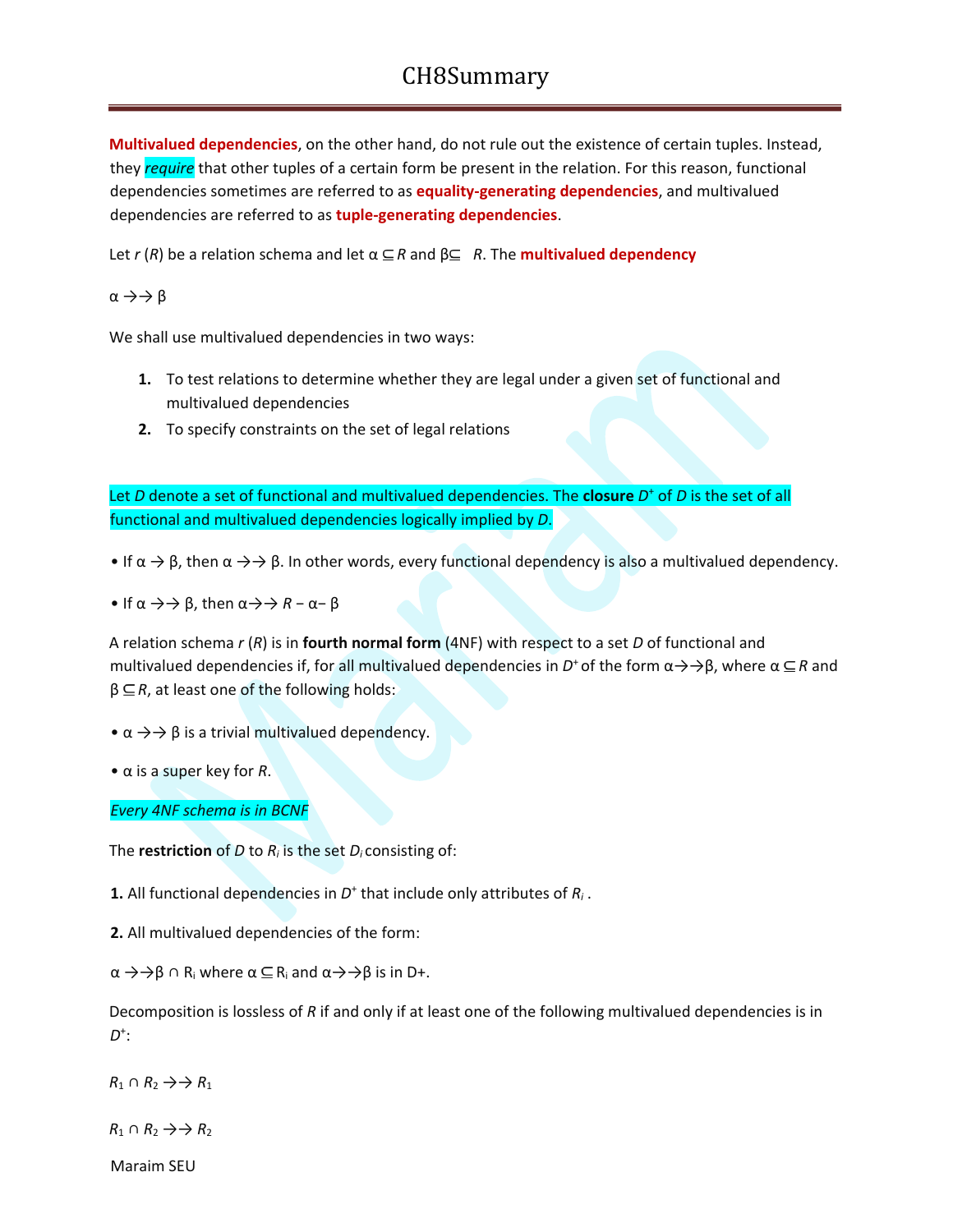**Multivalued dependencies**, on the other hand, do not rule out the existence of certain tuples. Instead, they *require* that other tuples of a certain form be present in the relation. For this reason, functional dependencies sometimes are referred to as **equality-generating dependencies**, and multivalued dependencies are referred to as **tuple-generating dependencies**.

Let *r* (*R*) be a relation schema and let  $\alpha \subseteq R$  and  $\beta \subseteq R$ . The **multivalued dependency** 

 $\alpha \rightarrow \rightarrow \beta$ 

We shall use multivalued dependencies in two ways:

- **1.** To test relations to determine whether they are legal under a given set of functional and multivalued dependencies
- **2.** To specify constraints on the set of legal relations

Let *D* denote a set of functional and multivalued dependencies. The **closure** *D* <sup>+</sup> of *D* is the set of all functional and multivalued dependencies logically implied by *D*.

• If  $\alpha \to \beta$ , then  $\alpha \to \beta$ . In other words, every functional dependency is also a multivalued dependency.

• If  $\alpha \rightarrow \rightarrow \beta$ , then  $\alpha \rightarrow \rightarrow R - \alpha - \beta$ 

A relation schema *r* (*R*) is in **fourth normal form** (4NF) with respect to a set *D* of functional and multivalued dependencies if, for all multivalued dependencies in *D*<sup>+</sup> of the form α→→β, where α ⊆ R and  $β ⊆ R$ , at least one of the following holds:

 $\bullet \alpha \rightarrow \rightarrow \beta$  is a trivial multivalued dependency.

• α is a super key for *R*.

*Every 4NF schema is in BCNF*

The **restriction** of *D* to *R<sup>i</sup>* is the set *Di* consisting of:

**1.** All functional dependencies in  $D^+$  that include only attributes of  $R_i$ .

**2.** All multivalued dependencies of the form:

 $\alpha \rightarrow \rightarrow \beta \cap R_i$  where  $\alpha \subseteq R_i$  and  $\alpha \rightarrow \rightarrow \beta$  is in D+.

Decomposition is lossless of *R* if and only if at least one of the following multivalued dependencies is in *D* + :

 $R_1 \cap R_2 \rightarrow R_1$ 

 $R_1 \cap R_2 \rightarrow R_2$